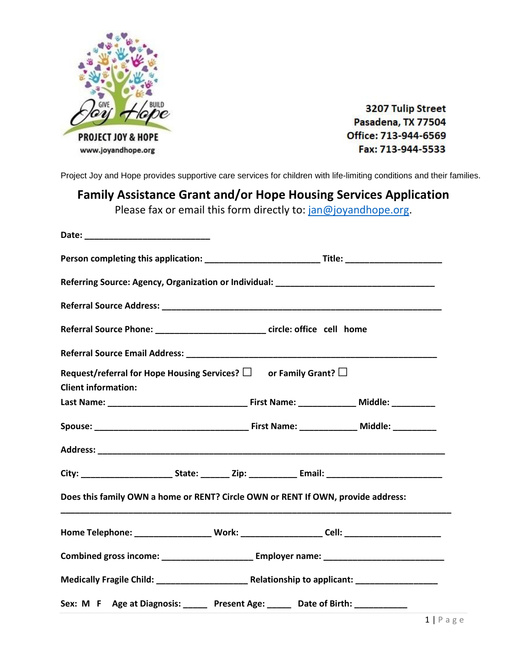

3207 Tulip Street Pasadena, TX 77504 Office: 713-944-6569 Fax: 713-944-5533

Project Joy and Hope provides supportive care services for children with life-limiting conditions and their families.

## **Family Assistance Grant and/or Hope Housing Services Application**

Please fax or email this form directly to: [jan@joyandhope.org.](mailto:jan@joyandhope.org)

| Referral Source Phone: __________________________ circle: office cell home                          |                                                                                                     |  |  |  |  |
|-----------------------------------------------------------------------------------------------------|-----------------------------------------------------------------------------------------------------|--|--|--|--|
|                                                                                                     |                                                                                                     |  |  |  |  |
| Request/referral for Hope Housing Services? $\square$ or Family Grant? $\square$                    |                                                                                                     |  |  |  |  |
| <b>Client information:</b>                                                                          |                                                                                                     |  |  |  |  |
|                                                                                                     |                                                                                                     |  |  |  |  |
|                                                                                                     |                                                                                                     |  |  |  |  |
|                                                                                                     |                                                                                                     |  |  |  |  |
|                                                                                                     |                                                                                                     |  |  |  |  |
| Does this family OWN a home or RENT? Circle OWN or RENT If OWN, provide address:                    |                                                                                                     |  |  |  |  |
|                                                                                                     | Home Telephone: ______________________ Work: ______________________Cell: __________________________ |  |  |  |  |
| Combined gross income: ____________________________ Employer name: ________________________________ |                                                                                                     |  |  |  |  |
|                                                                                                     |                                                                                                     |  |  |  |  |
| Sex: M F Age at Diagnosis: _____ Present Age: _____ Date of Birth: ___________                      |                                                                                                     |  |  |  |  |